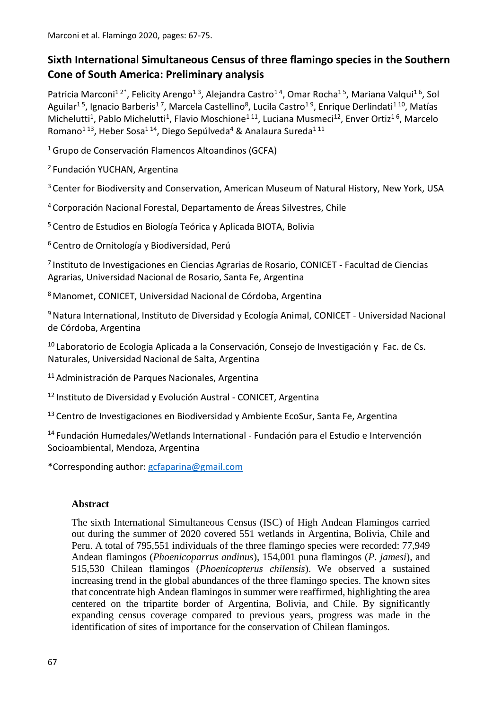Marconi et al. Flamingo 2020, pages: 67-75.

# **Sixth International Simultaneous Census of three flamingo species in the Southern Cone of South America: Preliminary analysis**

Patricia Marconi<sup>12\*</sup>, Felicity Arengo<sup>13</sup>, Alejandra Castro<sup>14</sup>, Omar Rocha<sup>15</sup>, Mariana Valqui<sup>16</sup>, Sol Aguilar<sup>15</sup>, Ignacio Barberis<sup>17</sup>, Marcela Castellino<sup>8</sup>, Lucila Castro<sup>19</sup>, Enrique Derlindati<sup>110</sup>, Matías Michelutti<sup>1</sup>, Pablo Michelutti<sup>1</sup>, Flavio Moschione<sup>111</sup>, Luciana Musmeci<sup>12</sup>, Enver Ortiz<sup>16</sup>, Marcelo Romano<sup>113</sup>, Heber Sosa<sup>114</sup>, Diego Sepúlveda<sup>4</sup> & Analaura Sureda<sup>111</sup>

<sup>1</sup>Grupo de Conservación Flamencos Altoandinos (GCFA)

<sup>2</sup> Fundación YUCHAN, Argentina

<sup>3</sup> Center for Biodiversity and Conservation, American Museum of Natural History, New York, USA

<sup>4</sup> Corporación Nacional Forestal, Departamento de Áreas Silvestres, Chile

<sup>5</sup> Centro de Estudios en Biología Teórica y Aplicada BIOTA, Bolivia

<sup>6</sup> Centro de Ornitología y Biodiversidad, Perú

7 Instituto de Investigaciones en Ciencias Agrarias de Rosario, CONICET - Facultad de Ciencias Agrarias, Universidad Nacional de Rosario, Santa Fe, Argentina

<sup>8</sup> Manomet, CONICET, Universidad Nacional de Córdoba, Argentina

<sup>9</sup> Natura International, Instituto de Diversidad y Ecología Animal, CONICET - Universidad Nacional de Córdoba, Argentina

 $10$  Laboratorio de Ecología Aplicada a la Conservación, Consejo de Investigación y Fac. de Cs. Naturales, Universidad Nacional de Salta, Argentina

<sup>11</sup> Administración de Parques Nacionales, Argentina

<sup>12</sup> Instituto de Diversidad y Evolución Austral - CONICET, Argentina

<sup>13</sup> Centro de Investigaciones en Biodiversidad y Ambiente EcoSur, Santa Fe, Argentina

<sup>14</sup> Fundación Humedales/Wetlands International - Fundación para el Estudio e Intervención Socioambiental, Mendoza, Argentina

\*Corresponding author: [gcfaparina@gmail.com](mailto:gcfaparina@gmail.com)

### **Abstract**

The sixth International Simultaneous Census (ISC) of High Andean Flamingos carried out during the summer of 2020 covered 551 wetlands in Argentina, Bolivia, Chile and Peru. A total of 795,551 individuals of the three flamingo species were recorded: 77,949 Andean flamingos (*Phoenicoparrus andinus*), 154,001 puna flamingos (*P. jamesi*), and 515,530 Chilean flamingos (*Phoenicopterus chilensis*). We observed a sustained increasing trend in the global abundances of the three flamingo species. The known sites that concentrate high Andean flamingos in summer were reaffirmed, highlighting the area centered on the tripartite border of Argentina, Bolivia, and Chile. By significantly expanding census coverage compared to previous years, progress was made in the identification of sites of importance for the conservation of Chilean flamingos.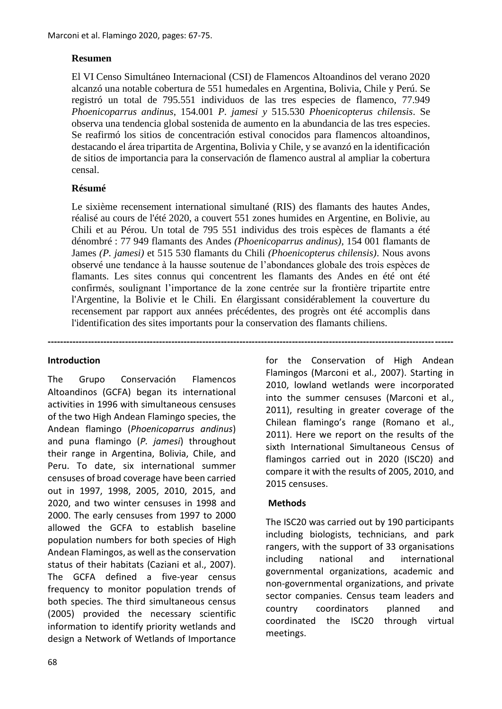## **Resumen**

El VI Censo Simultáneo Internacional (CSI) de Flamencos Altoandinos del verano 2020 alcanzó una notable cobertura de 551 humedales en Argentina, Bolivia, Chile y Perú. Se registró un total de 795.551 individuos de las tres especies de flamenco, 77.949 *Phoenicoparrus andinus*, 154.001 *P. jamesi y* 515.530 *Phoenicopterus chilensis*. Se observa una tendencia global sostenida de aumento en la abundancia de las tres especies. Se reafirmó los sitios de concentración estival conocidos para flamencos altoandinos, destacando el área tripartita de Argentina, Bolivia y Chile, y se avanzó en la identificación de sitios de importancia para la conservación de flamenco austral al ampliar la cobertura censal.

## **Résumé**

Le sixième recensement international simultané (RIS) des flamants des hautes Andes, réalisé au cours de l'été 2020, a couvert 551 zones humides en Argentine, en Bolivie, au Chili et au Pérou. Un total de 795 551 individus des trois espèces de flamants a été dénombré : 77 949 flamants des Andes *(Phoenicoparrus andinus)*, 154 001 flamants de James *(P. jamesi)* et 515 530 flamants du Chili *(Phoenicopterus chilensis)*. Nous avons observé une tendance à la hausse soutenue de l'abondances globale des trois espèces de flamants. Les sites connus qui concentrent les flamants des Andes en été ont été confirmés, soulignant l'importance de la zone centrée sur la frontière tripartite entre l'Argentine, la Bolivie et le Chili. En élargissant considérablement la couverture du recensement par rapport aux années précédentes, des progrès ont été accomplis dans l'identification des sites importants pour la conservation des flamants chiliens.

**-----------------------------------------------------------------------------------------------------------------------------------**

### **Introduction**

The Grupo Conservación Flamencos Altoandinos (GCFA) began its international activities in 1996 with simultaneous censuses of the two High Andean Flamingo species, the Andean flamingo (*Phoenicoparrus andinus*) and puna flamingo (*P. jamesi*) throughout their range in Argentina, Bolivia, Chile, and Peru. To date, six international summer censuses of broad coverage have been carried out in 1997, 1998, 2005, 2010, 2015, and 2020, and two winter censuses in 1998 and 2000. The early censuses from 1997 to 2000 allowed the GCFA to establish baseline population numbers for both species of High Andean Flamingos, as well as the conservation status of their habitats (Caziani et al., 2007). The GCFA defined a five-year census frequency to monitor population trends of both species. The third simultaneous census (2005) provided the necessary scientific information to identify priority wetlands and design a Network of Wetlands of Importance

for the Conservation of High Andean Flamingos (Marconi et al., 2007). Starting in 2010, lowland wetlands were incorporated into the summer censuses (Marconi et al., 2011), resulting in greater coverage of the Chilean flamingo's range (Romano et al., 2011). Here we report on the results of the sixth International Simultaneous Census of flamingos carried out in 2020 (ISC20) and compare it with the results of 2005, 2010, and 2015 censuses.

### **Methods**

The ISC20 was carried out by 190 participants including biologists, technicians, and park rangers, with the support of 33 organisations including national and international governmental organizations, academic and non-governmental organizations, and private sector companies. Census team leaders and country coordinators planned and coordinated the ISC20 through virtual meetings.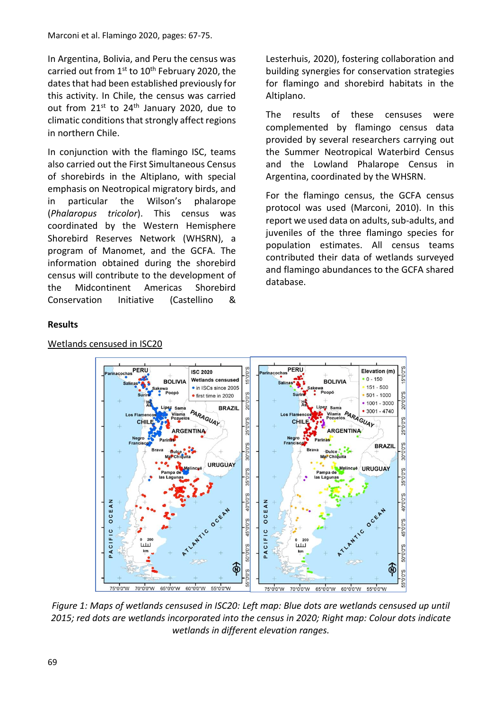In Argentina, Bolivia, and Peru the census was carried out from 1<sup>st</sup> to 10<sup>th</sup> February 2020, the dates that had been established previously for this activity. In Chile, the census was carried out from  $21^{st}$  to  $24^{th}$  January 2020, due to climatic conditions that strongly affect regions in northern Chile.

In conjunction with the flamingo ISC, teams also carried out the First Simultaneous Census of shorebirds in the Altiplano, with special emphasis on Neotropical migratory birds, and in particular the Wilson's phalarope (*Phalaropus tricolor*). This census was coordinated by the Western Hemisphere Shorebird Reserves Network (WHSRN), a program of Manomet, and the GCFA. The information obtained during the shorebird census will contribute to the development of the Midcontinent Americas Shorebird Conservation Initiative (Castellino &

Lesterhuis, 2020), fostering collaboration and building synergies for conservation strategies for flamingo and shorebird habitats in the Altiplano.

The results of these censuses were complemented by flamingo census data provided by several researchers carrying out the Summer Neotropical Waterbird Census and the Lowland Phalarope Census in Argentina, coordinated by the WHSRN.

For the flamingo census, the GCFA census protocol was used (Marconi, 2010). In this report we used data on adults, sub-adults, and juveniles of the three flamingo species for population estimates. All census teams contributed their data of wetlands surveyed and flamingo abundances to the GCFA shared database.

# **Results**



## *Figure 1: Maps of wetlands censused in ISC20: Left map: Blue dots are wetlands censused up until 2015; red dots are wetlands incorporated into the census in 2020; Right map: Colour dots indicate wetlands in different elevation ranges.*

### Wetlands censused in ISC20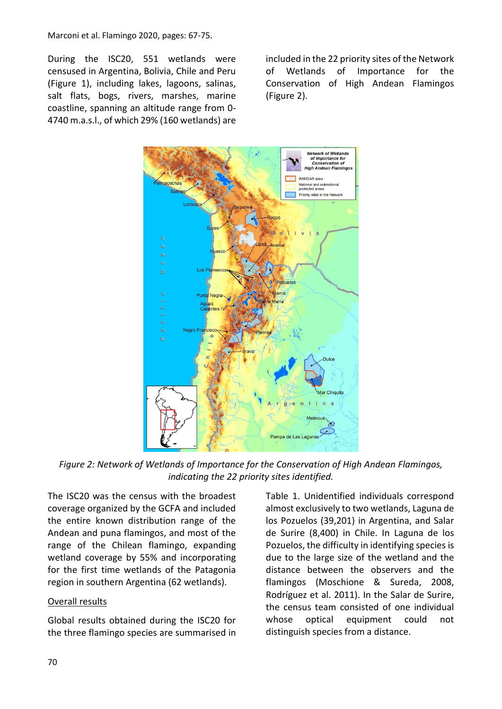#### Marconi et al. Flamingo 2020, pages: 67-75.

During the ISC20, 551 wetlands were censused in Argentina, Bolivia, Chile and Peru (Figure 1), including lakes, lagoons, salinas, salt flats, bogs, rivers, marshes, marine coastline, spanning an altitude range from 0- 4740 m.a.s.l., of which 29% (160 wetlands) are included in the 22 priority sites of the Network of Wetlands of Importance for the Conservation of High Andean Flamingos (Figure 2).



*Figure 2: Network of Wetlands of Importance for the Conservation of High Andean Flamingos, indicating the 22 priority sites identified.*

The ISC20 was the census with the broadest coverage organized by the GCFA and included the entire known distribution range of the Andean and puna flamingos, and most of the range of the Chilean flamingo, expanding wetland coverage by 55% and incorporating for the first time wetlands of the Patagonia region in southern Argentina (62 wetlands).

### Overall results

Global results obtained during the ISC20 for the three flamingo species are summarised in Table 1. Unidentified individuals correspond almost exclusively to two wetlands, Laguna de los Pozuelos (39,201) in Argentina, and Salar de Surire (8,400) in Chile. In Laguna de los Pozuelos, the difficulty in identifying species is due to the large size of the wetland and the distance between the observers and the flamingos (Moschione & Sureda, 2008, Rodríguez et al. 2011). In the Salar de Surire, the census team consisted of one individual whose optical equipment could not distinguish species from a distance.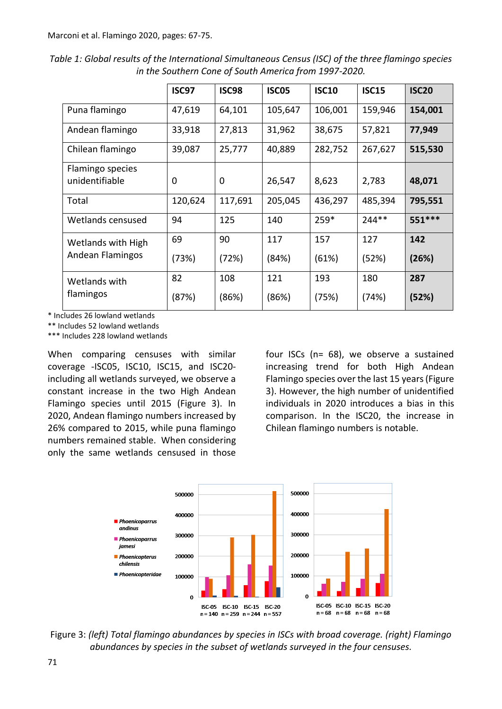*Table 1: Global results of the International Simultaneous Census (ISC) of the three flamingo species in the Southern Cone of South America from 1997-2020.*

|                            | <b>ISC97</b> | <b>ISC98</b> | ISC <sub>05</sub> | <b>ISC10</b> | <b>ISC15</b> | <b>ISC20</b> |
|----------------------------|--------------|--------------|-------------------|--------------|--------------|--------------|
|                            |              |              |                   |              |              |              |
| Puna flamingo              | 47,619       | 64,101       | 105,647           | 106,001      | 159,946      | 154,001      |
| Andean flamingo            | 33,918       | 27,813       | 31,962            | 38,675       | 57,821       | 77,949       |
| Chilean flamingo           | 39,087       | 25,777       | 40,889            | 282,752      | 267,627      | 515,530      |
| Flamingo species           |              |              |                   |              |              |              |
| unidentifiable             | 0            | 0            | 26,547            | 8,623        | 2,783        | 48,071       |
| Total                      | 120,624      | 117,691      | 205,045           | 436,297      | 485,394      | 795,551      |
| Wetlands censused          | 94           | 125          | 140               | 259*         | 244**        | 551 ***      |
| Wetlands with High         | 69           | 90           | 117               | 157          | 127          | 142          |
| Andean Flamingos           | (73%)        | (72%)        | (84%)             | (61%)        | (52%)        | (26%)        |
| Wetlands with<br>flamingos | 82           | 108          | 121               | 193          | 180          | 287          |
|                            | (87%)        | (86%)        | (86%)             | (75%)        | (74%)        | (52%)        |

\* Includes 26 lowland wetlands

\*\* Includes 52 lowland wetlands

\*\*\* Includes 228 lowland wetlands

When comparing censuses with similar coverage -ISC05, ISC10, ISC15, and ISC20 including all wetlands surveyed, we observe a constant increase in the two High Andean Flamingo species until 2015 (Figure 3). In 2020, Andean flamingo numbers increased by 26% compared to 2015, while puna flamingo numbers remained stable. When considering only the same wetlands censused in those

four ISCs (n= 68), we observe a sustained increasing trend for both High Andean Flamingo species over the last 15 years (Figure 3). However, the high number of unidentified individuals in 2020 introduces a bias in this comparison. In the ISC20, the increase in Chilean flamingo numbers is notable.



Figure 3: *(left) Total flamingo abundances by species in ISCs with broad coverage. (right) Flamingo abundances by species in the subset of wetlands surveyed in the four censuses.*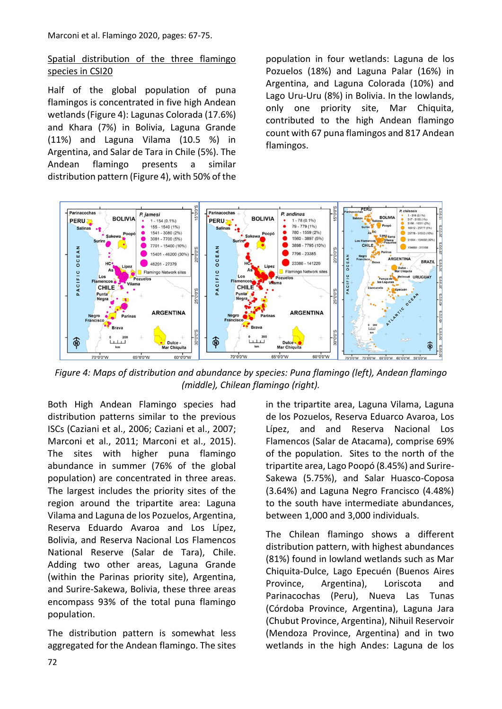## Spatial distribution of the three flamingo species in CSI20

Half of the global population of puna flamingos is concentrated in five high Andean wetlands (Figure 4): Lagunas Colorada (17.6%) and Khara (7%) in Bolivia, Laguna Grande (11%) and Laguna Vilama (10.5 %) in Argentina, and Salar de Tara in Chile (5%). The Andean flamingo presents a similar distribution pattern (Figure 4), with 50% of the population in four wetlands: Laguna de los Pozuelos (18%) and Laguna Palar (16%) in Argentina, and Laguna Colorada (10%) and Lago Uru-Uru (8%) in Bolivia. In the lowlands, only one priority site, Mar Chiquita. contributed to the high Andean flamingo count with 67 puna flamingos and 817 Andean flamingos.



*Figure 4: Maps of distribution and abundance by species: Puna flamingo (left), Andean flamingo (middle), Chilean flamingo (right).*

Both High Andean Flamingo species had distribution patterns similar to the previous ISCs (Caziani et al., 2006; Caziani et al., 2007; Marconi et al., 2011; Marconi et al., 2015). The sites with higher puna flamingo abundance in summer (76% of the global population) are concentrated in three areas. The largest includes the priority sites of the region around the tripartite area: Laguna Vilama and Laguna de los Pozuelos, Argentina, Reserva Eduardo Avaroa and Los Lípez, Bolivia, and Reserva Nacional Los Flamencos National Reserve (Salar de Tara), Chile. Adding two other areas, Laguna Grande (within the Parinas priority site), Argentina, and Surire-Sakewa, Bolivia, these three areas encompass 93% of the total puna flamingo population.

The distribution pattern is somewhat less aggregated for the Andean flamingo. The sites in the tripartite area, Laguna Vilama, Laguna de los Pozuelos, Reserva Eduarco Avaroa, Los Lípez, and and Reserva Nacional Los Flamencos (Salar de Atacama), comprise 69% of the population. Sites to the north of the tripartite area, Lago Poopó (8.45%) and Surire-Sakewa (5.75%), and Salar Huasco-Coposa (3.64%) and Laguna Negro Francisco (4.48%) to the south have intermediate abundances, between 1,000 and 3,000 individuals.

The Chilean flamingo shows a different distribution pattern, with highest abundances (81%) found in lowland wetlands such as Mar Chiquita-Dulce, Lago Epecuén (Buenos Aires Province, Argentina), Loriscota and Parinacochas (Peru), Nueva Las Tunas (Córdoba Province, Argentina), Laguna Jara (Chubut Province, Argentina), Nihuil Reservoir (Mendoza Province, Argentina) and in two wetlands in the high Andes: Laguna de los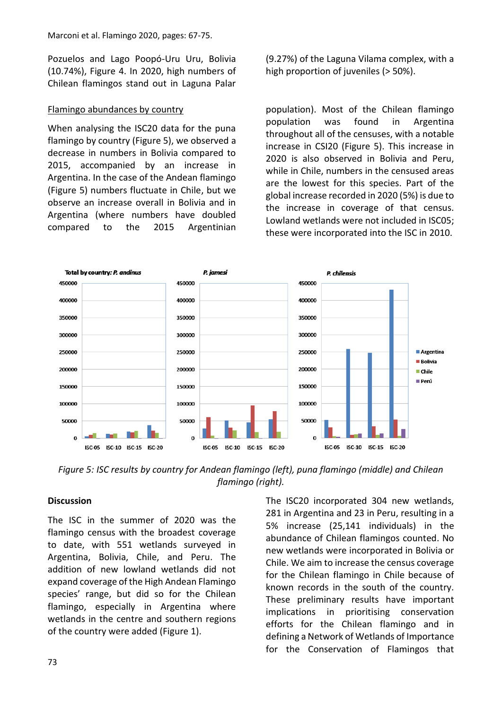Pozuelos and Lago Poopó-Uru Uru, Bolivia (10.74%), Figure 4. In 2020, high numbers of Chilean flamingos stand out in Laguna Palar

### Flamingo abundances by country

When analysing the ISC20 data for the puna flamingo by country (Figure 5), we observed a decrease in numbers in Bolivia compared to 2015, accompanied by an increase in Argentina. In the case of the Andean flamingo (Figure 5) numbers fluctuate in Chile, but we observe an increase overall in Bolivia and in Argentina (where numbers have doubled compared to the 2015 Argentinian (9.27%) of the Laguna Vilama complex, with a high proportion of juveniles (> 50%).

population). Most of the Chilean flamingo population was found in Argentina throughout all of the censuses, with a notable increase in CSI20 (Figure 5). This increase in 2020 is also observed in Bolivia and Peru, while in Chile, numbers in the censused areas are the lowest for this species. Part of the global increase recorded in 2020 (5%) is due to the increase in coverage of that census. Lowland wetlands were not included in ISC05; these were incorporated into the ISC in 2010.



*Figure 5: ISC results by country for Andean flamingo (left), puna flamingo (middle) and Chilean flamingo (right).*

### **Discussion**

The ISC in the summer of 2020 was the flamingo census with the broadest coverage to date, with 551 wetlands surveyed in Argentina, Bolivia, Chile, and Peru. The addition of new lowland wetlands did not expand coverage of the High Andean Flamingo species' range, but did so for the Chilean flamingo, especially in Argentina where wetlands in the centre and southern regions of the country were added (Figure 1).

The ISC20 incorporated 304 new wetlands, 281 in Argentina and 23 in Peru, resulting in a 5% increase (25,141 individuals) in the abundance of Chilean flamingos counted. No new wetlands were incorporated in Bolivia or Chile. We aim to increase the census coverage for the Chilean flamingo in Chile because of known records in the south of the country. These preliminary results have important implications in prioritising conservation efforts for the Chilean flamingo and in defining a Network of Wetlands of Importance for the Conservation of Flamingos that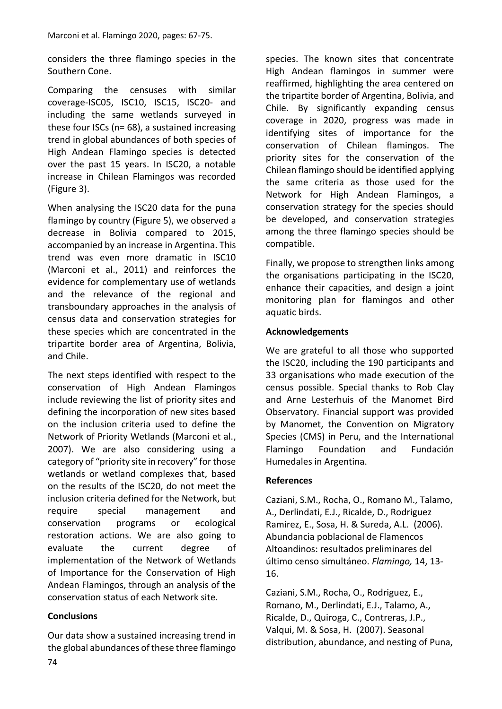considers the three flamingo species in the Southern Cone.

Comparing the censuses with similar coverage-ISC05, ISC10, ISC15, ISC20- and including the same wetlands surveyed in these four ISCs (n= 68), a sustained increasing trend in global abundances of both species of High Andean Flamingo species is detected over the past 15 years. In ISC20, a notable increase in Chilean Flamingos was recorded (Figure 3).

When analysing the ISC20 data for the puna flamingo by country (Figure 5), we observed a decrease in Bolivia compared to 2015, accompanied by an increase in Argentina. This trend was even more dramatic in ISC10 (Marconi et al., 2011) and reinforces the evidence for complementary use of wetlands and the relevance of the regional and transboundary approaches in the analysis of census data and conservation strategies for these species which are concentrated in the tripartite border area of Argentina, Bolivia, and Chile.

The next steps identified with respect to the conservation of High Andean Flamingos include reviewing the list of priority sites and defining the incorporation of new sites based on the inclusion criteria used to define the Network of Priority Wetlands (Marconi et al., 2007). We are also considering using a category of "priority site in recovery" for those wetlands or wetland complexes that, based on the results of the ISC20, do not meet the inclusion criteria defined for the Network, but require special management and conservation programs or ecological restoration actions. We are also going to evaluate the current degree of implementation of the Network of Wetlands of Importance for the Conservation of High Andean Flamingos, through an analysis of the conservation status of each Network site.

## **Conclusions**

Our data show a sustained increasing trend in the global abundances of these three flamingo species. The known sites that concentrate High Andean flamingos in summer were reaffirmed, highlighting the area centered on the tripartite border of Argentina, Bolivia, and Chile. By significantly expanding census coverage in 2020, progress was made in identifying sites of importance for the conservation of Chilean flamingos. The priority sites for the conservation of the Chilean flamingo should be identified applying the same criteria as those used for the Network for High Andean Flamingos, a conservation strategy for the species should be developed, and conservation strategies among the three flamingo species should be compatible.

Finally, we propose to strengthen links among the organisations participating in the ISC20, enhance their capacities, and design a joint monitoring plan for flamingos and other aquatic birds.

## **Acknowledgements**

We are grateful to all those who supported the ISC20, including the 190 participants and 33 organisations who made execution of the census possible. Special thanks to Rob Clay and Arne Lesterhuis of the Manomet Bird Observatory. Financial support was provided by Manomet, the Convention on Migratory Species (CMS) in Peru, and the International Flamingo Foundation and Fundación Humedales in Argentina.

### **References**

Caziani, S.M., Rocha, O., Romano M., Talamo, A., Derlindati, E.J., Ricalde, D., Rodriguez Ramirez, E., Sosa, H. & Sureda, A.L. (2006). Abundancia poblacional de Flamencos Altoandinos: resultados preliminares del último censo simultáneo. *Flamingo,* 14, 13- 16.

Caziani, S.M., Rocha, O., Rodriguez, E., Romano, M., Derlindati, E.J., Talamo, A., Ricalde, D., Quiroga, C., Contreras, J.P., Valqui, M. & Sosa, H. (2007). Seasonal distribution, abundance, and nesting of Puna,